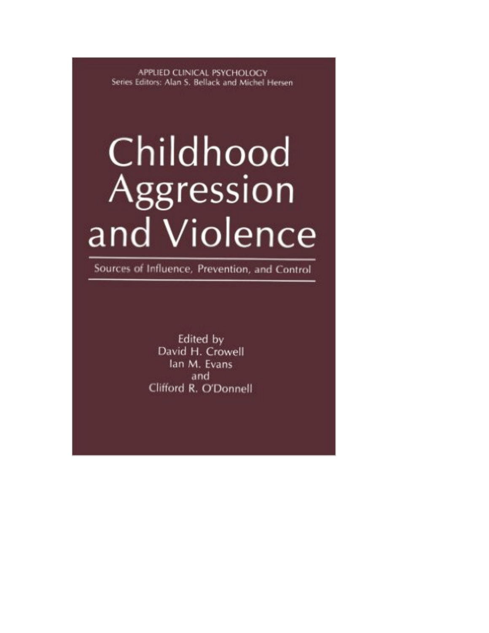APPLIED CLINICAL PSYCHOLOGY Series Editors: Alan S. Bellack and Michel Hersen

# Childhood Aggression and Violence

Sources of Influence, Prevention, and Control

Edited by David H. Crowell lan M. Evans and Clifford R. O'Donnell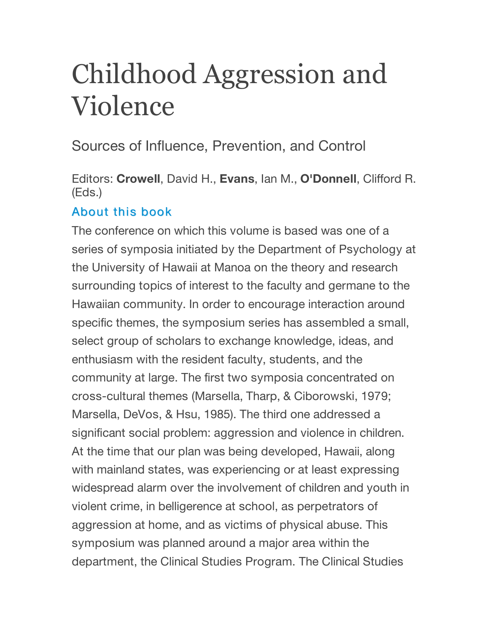## Childhood Aggression and Violence

Sources of Influence, Prevention, and Control

Editors: **Crowell**, David H., **Evans**, Ian M., **O'Donnell**, Clifford R. (Eds.)

#### About this book

The conference on which this volume is based was one of a series of symposia initiated by the Department of Psychology at the University of Hawaii at Manoa on the theory and research surrounding topics of interest to the faculty and germane to the Hawaiian community. In order to encourage interaction around specific themes, the symposium series has assembled a small, select group of scholars to exchange knowledge, ideas, and enthusiasm with the resident faculty, students, and the community at large. The first two symposia concentrated on cross-cultural themes (Marsella, Tharp, & Ciborowski, 1979; Marsella, DeVos, & Hsu, 1985). The third one addressed a significant social problem: aggression and violence in children. At the time that our plan was being developed, Hawaii, along with mainland states, was experiencing or at least expressing widespread alarm over the involvement of children and youth in violent crime, in belligerence at school, as perpetrators of aggression at home, and as victims of physical abuse. This symposium was planned around a major area within the department, the Clinical Studies Program. The Clinical Studies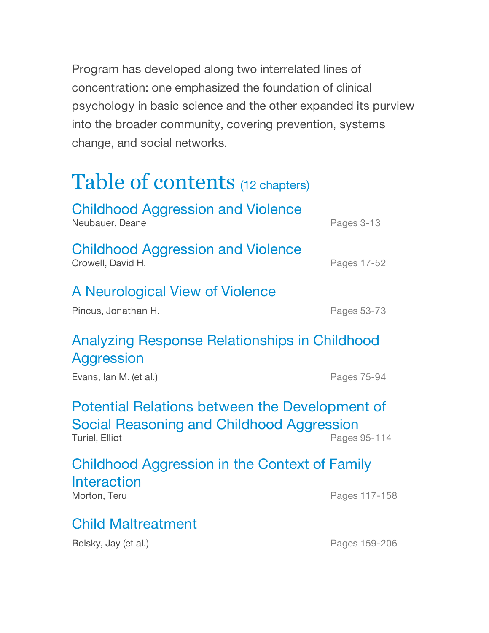Program has developed along two interrelated lines of concentration: one emphasized the foundation of clinical psychology in basic science and the other expanded its purview into the broader community, covering prevention, systems change, and social networks.

### Table of contents (12 chapters) Childhood Aggression and Violence Neubauer, Deane **Pages 3-13** Childhood Aggression and Violence Crowell, David H. **Pages 17-52** A Neurological View of Violence Pincus, Jonathan H. **Pincus**, 1973

#### Analyzing Response Relationships in Childhood **Aggression**

Evans, Ian M. (et al.) example 20 and the Pages 75-94

#### Potential Relations between the Development of Social Reasoning and Childhood Aggression Turiel, Elliot **Pages 95-114**

#### Childhood Aggression in the Context of Family **Interaction** Morton, Teru **Morton, Teru Pages 117-158**

#### Child Maltreatment

Belsky, Jay (et al.) **Pages 159-206**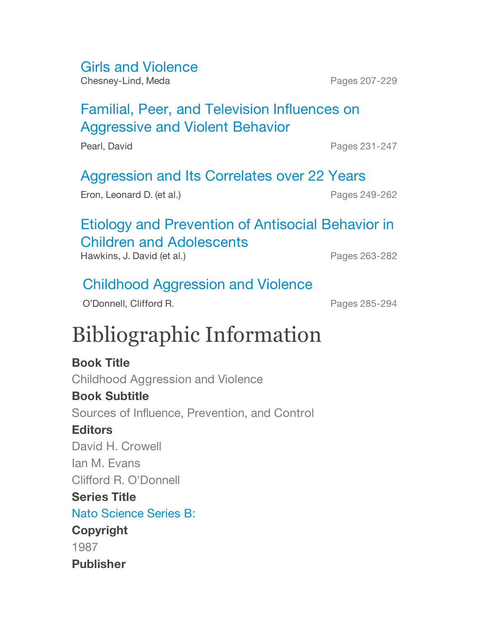#### Girls and Violence

Chesney-Lind, Meda
Burguette Chesney-Lind, Meda
Burguette Pages 207-229

#### Familial, Peer, and Television Influences on Aggressive and Violent Behavior

Pearl, David Pages 231-247

#### Aggression and Its Correlates over 22 Years

Eron, Leonard D. (et al.) example 249-262

#### Etiology and Prevention of Antisocial Behavior in Children and Adolescents

Hawkins, J. David (et al.) example 263-282

#### Childhood Aggression and Violence

O'Donnell, Clifford R. Pages 285-294

### Bibliographic Information

**Book Title** Childhood Aggression and Violence **Book Subtitle** Sources of Influence, Prevention, and Control **Editors** David H. Crowell Ian M. Evans Clifford R. O'Donnell **Series Title** Nato Science Series B: **Copyright** 1987 **Publisher**